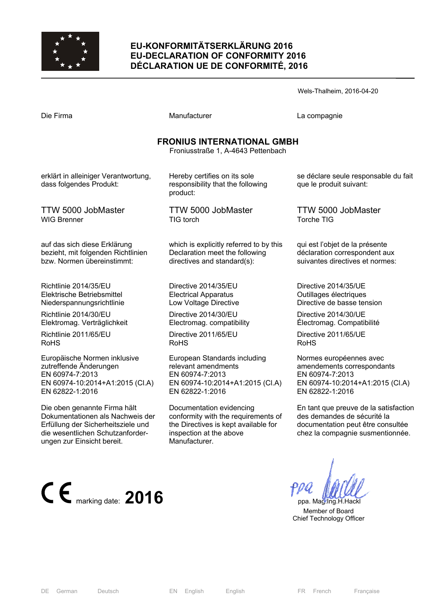

## **EU-KONFORMITÄTSERKLÄRUNG 2016 EU-DECLARATION OF CONFORMITY 2016 DÉCLARATION UE DE CONFORMITÉ, 2016**

Wels-Thalheim, 2016-04-20 Die Firma and Compagnie Manufacturer Company La compagnie **FRONIUS INTERNATIONAL GMBH**  Froniusstraße 1, A-4643 Pettenbach erklärt in alleiniger Verantwortung, Hereby certifies on its sole responsibility that the following product: TTW 5000 JobMaster TIG torch which is explicitly referred to by this Declaration meet the following directives and standard(s): se déclare seule responsable du fait que le produit suivant: TTW 5000 JobMaster Torche TIG qui est l'objet de la présente déclaration correspondent aux suivantes directives et normes:

> Directive 2014/35/EU Electrical Apparatus Low Voltage Directive

> > Directive 2014/30/EU Electromag. compatibility

Directive 2011/65/EU RoHS

European Standards including relevant amendments EN 60974-7:2013 EN 60974-10:2014+A1:2015 (Cl.A) EN 62822-1:2016

Documentation evidencing conformity with the requirements of the Directives is kept available for inspection at the above Manufacturer.

DE German Deutsch EN English English FR French Française

dass folgendes Produkt:

TTW 5000 JobMaster WIG Brenner

auf das sich diese Erklärung bezieht, mit folgenden Richtlinien bzw. Normen übereinstimmt:

Richtlinie 2014/35/EU Elektrische Betriebsmittel Niederspannungsrichtlinie

Richtlinie 2014/30/EU Elektromag. Verträglichkeit

Richtlinie 2011/65/EU RoHS

Europäische Normen inklusive zutreffende Änderungen EN 60974-7:2013 EN 60974-10:2014+A1:2015 (Cl.A) EN 62822-1:2016

Die oben genannte Firma hält Dokumentationen als Nachweis der Erfüllung der Sicherheitsziele und die wesentlichen Schutzanforderungen zur Einsicht bereit.



Directive 2014/35/UE Outillages électriques Directive de basse tension

Directive 2014/30/UE Électromag. Compatibilité

Directive 2011/65/UE RoHS

Normes européennes avec amendements correspondants EN 60974-7:2013 EN 60974-10:2014+A1:2015 (Cl.A) EN 62822-1:2016

En tant que preuve de la satisfaction des demandes de sécurité la documentation peut être consultée chez la compagnie susmentionnée.

 Member of Board Chief Technology Officer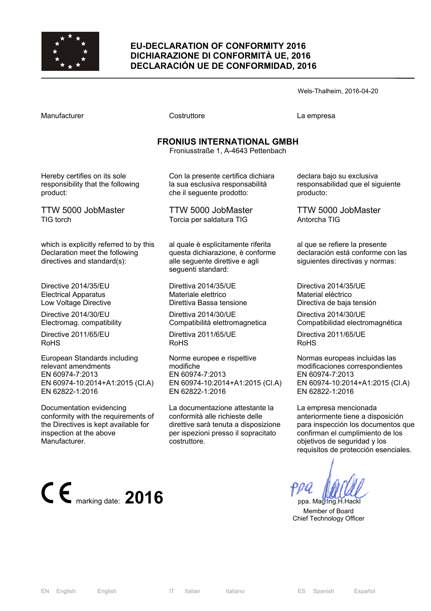

### **EU-DECLARATION OF CONFORMITY 2016 DICHIARAZIONE DI CONFORMITÀ UE, 2016 DECLARACIÓN UE DE CONFORMIDAD, 2016**

Wels-Thalheim, 2016-04-20

Costruttore **Costruttore** La empresa

# **FRONIUS INTERNATIONAL GMBH**

Froniusstraße 1, A-4643 Pettenbach

Hereby certifies on its sole responsibility that the following product:

TTW 5000 JobMaster TIG torch

which is explicitly referred to by this Declaration meet the following directives and standard(s):

Directive 2014/35/EU Electrical Apparatus Low Voltage Directive

Directive 2014/30/EU Electromag. compatibility

Directive 2011/65/EU RoHS

European Standards including relevant amendments EN 60974-7:2013 EN 60974-10:2014+A1:2015 (Cl.A) EN 62822-1:2016

Documentation evidencing conformity with the requirements of the Directives is kept available for inspection at the above Manufacturer.



Con la presente certifica dichiara la sua esclusiva responsabilità che il seguente prodotto:

TTW 5000 JobMaster Torcia per saldatura TIG

al quale è esplicitamente riferita questa dichiarazione, è conforme alle seguente direttive e agli seguenti standard:

Direttiva 2014/35/UE Materiale elettrico Direttiva Bassa tensione

Direttiva 2014/30/UE Compatibilità elettromagnetica

Direttiva 2011/65/UE RoHS

Norme europee e rispettive modifiche EN 60974-7:2013 EN 60974-10:2014+A1:2015 (Cl.A) EN 62822-1:2016

La documentazione attestante la conformità alle richieste delle direttive sarà tenuta a disposizione per ispezioni presso il sopracitato costruttore.

declara bajo su exclusiva responsabilidad que el siguiente producto:

TTW 5000 JobMaster Antorcha TIG

al que se refiere la presente declaración está conforme con las siguientes directivas y normas:

Directiva 2014/35/UE Material eléctrico Directiva de baja tensión

Directiva 2014/30/UE Compatibilidad electromagnética

Directiva 2011/65/UE RoHS

Normas europeas incluidas las modificaciones correspondientes EN 60974-7:2013 EN 60974-10:2014+A1:2015 (Cl.A) EN 62822-1:2016

La empresa mencionada anteriormente tiene a disposición para inspección los documentos que confirman el cumplimiento de los objetivos de seguridad y los requisitos de protección esenciales.

 Member of Board Chief Technology Officer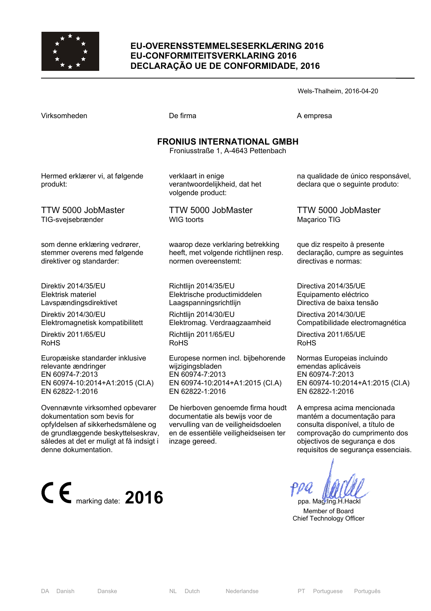

### **EU-OVERENSSTEMMELSESERKLÆRING 2016 EU-CONFORMITEITSVERKLARING 2016 DECLARAÇÃO UE DE CONFORMIDADE, 2016**

Virksomheden De firma De firma A empresa

Wels-Thalheim, 2016-04-20

| <b>FRONIUS INTERNATIONAL GMBH</b><br>Froniusstraße 1, A-4643 Pettenbach |                                                                          |                                                                       |  |  |
|-------------------------------------------------------------------------|--------------------------------------------------------------------------|-----------------------------------------------------------------------|--|--|
| Hermed erklærer vi, at følgende<br>produkt:                             | verklaart in enige<br>verantwoordelijkheid, dat het<br>volgende product: | na qualidade de único responsável,<br>declara que o seguinte produto: |  |  |
| <b>TTW 5000 JobMaster</b>                                               | <b>TTW 5000 JobMaster</b>                                                | TTW 5000 JobMaster                                                    |  |  |
| TIG-svejsebrænder                                                       | <b>WIG</b> toorts                                                        | Maçarico TIG                                                          |  |  |
| som denne erklæring vedrører,                                           | waarop deze verklaring betrekking                                        | que diz respeito à presente                                           |  |  |
| stemmer overens med følgende                                            | heeft, met volgende richtlijnen resp.                                    | declaração, cumpre as seguintes                                       |  |  |
| direktiver og standarder:                                               | normen overeenstemt:                                                     | directivas e normas:                                                  |  |  |
| Direktiv 2014/35/EU                                                     | Richtlijn 2014/35/EU                                                     | Directiva 2014/35/UE                                                  |  |  |
| Elektrisk materiel                                                      | Elektrische productimiddelen                                             | Equipamento eléctrico                                                 |  |  |
| Lavspændingsdirektivet                                                  | Laagspanningsrichtlijn                                                   | Directiva de baixa tensão                                             |  |  |
| Direktiv 2014/30/EU                                                     | Richtlijn 2014/30/EU                                                     | Directiva 2014/30/UE                                                  |  |  |
| Elektromagnetisk kompatibilitett                                        | Elektromag. Verdraagzaamheid                                             | Compatibilidade electromagnética                                      |  |  |
| Direktiv 2011/65/EU                                                     | Richtlijn 2011/65/EU                                                     | Directiva 2011/65/UE                                                  |  |  |
| <b>RoHS</b>                                                             | <b>RoHS</b>                                                              | <b>RoHS</b>                                                           |  |  |
| Europæiske standarder inklusive                                         | Europese normen incl. bijbehorende                                       | Normas Europeias incluindo                                            |  |  |
| relevante ændringer                                                     | wijzigingsbladen                                                         | emendas aplicáveis                                                    |  |  |
| EN 60974-7:2013                                                         | EN 60974-7:2013                                                          | EN 60974-7:2013                                                       |  |  |
| EN 60974-10:2014+A1:2015 (Cl.A)                                         | EN 60974-10:2014+A1:2015 (CI.A)                                          | EN 60974-10:2014+A1:2015 (CI.A)                                       |  |  |
| EN 62822-1:2016                                                         | EN 62822-1:2016                                                          | EN 62822-1:2016                                                       |  |  |
| Ovennævnte virksomhed opbevarer                                         | De hierboven genoemde firma houdt                                        | A empresa acima mencionada                                            |  |  |
| dokumentation som bevis for                                             | documentatie als bewijs voor de                                          | mantém a documentação para                                            |  |  |
| opfyldelsen af sikkerhedsmålene og                                      | vervulling van de veiligheidsdoelen                                      | consulta disponível, a título de                                      |  |  |
| de grundlæggende beskyttelseskrav,                                      | en de essentiële veiligheidseisen ter                                    | comprovação do cumprimento dos                                        |  |  |
| således at det er muligt at få indsigt i                                | inzage gereed.                                                           | objectivos de segurança e dos                                         |  |  |

E marking date: 2016 **PPU PPU PPU ppa. Mag.Ing.H.Hackl** 

requisitos de segurança essenciais.

 Member of Board Chief Technology Officer

denne dokumentation.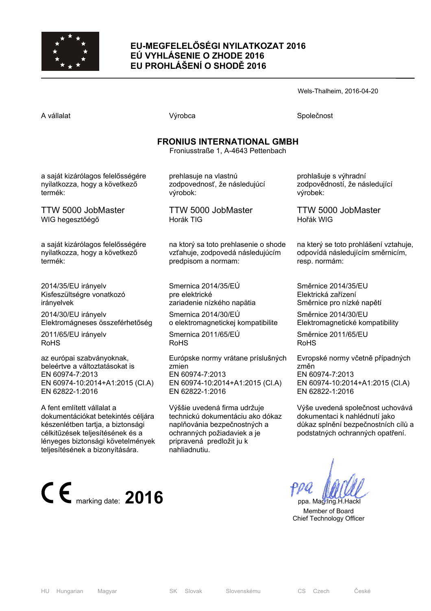

## **EU-MEGFELELŐSÉGI NYILATKOZAT 2016 EÚ VYHLÁSENIE O ZHODE 2016 EU PROHLÁŠENÍ O SHODĚ 2016**

Wels-Thalheim, 2016-04-20

A vállalat Společnost Národová výrobca Na vállalat Společnost Společnost Společnost Společnost Společnost Společnost

## **FRONIUS INTERNATIONAL GMBH**

Froniusstraße 1, A-4643 Pettenbach

a saját kizárólagos felelősségére nyilatkozza, hogy a következő termék:

TTW 5000 JobMaster WIG hegesztőégő

a saját kizárólagos felelősségére nyilatkozza, hogy a következő termék:

2014/35/EU irányelv Kisfeszültségre vonatkozó irányelvek

2014/30/EU irányelv Elektromágneses összeférhetőség

2011/65/EU irányelv RoHS

az európai szabványoknak, beleértve a változtatásokat is EN 60974-7:2013 EN 60974-10:2014+A1:2015 (Cl.A) EN 62822-1:2016

A fent említett vállalat a dokumentációkat betekintés céljára készenlétben tartja, a biztonsági célkitűzések teljesítésének és a lényeges biztonsági követelmények teljesítésének a bizonyítására.



prehlasuje na vlastnú zodpovednosť, že následujúcí výrobok:

TTW 5000 JobMaster Horák TIG

na ktorý sa toto prehlasenie o shode vzťahuje, zodpovedá následujúcím predpisom a normam:

Smernica 2014/35/EÚ pre elektrické zariadenie nízkého napätia

Smernica 2014/30/EÚ o elektromagnetickej kompatibilite

Smernica 2011/65/EÚ RoHS

Európske normy vrátane príslušných zmien EN 60974-7:2013 EN 60974-10:2014+A1:2015 (Cl.A) EN 62822-1:2016

Výššie uvedená firma udržuje technickú dokumentáciu ako dókaz naplňovánia bezpečnostných a ochranných požiadaviek a je pripravená predložit ju k nahliadnutiu.

prohlašuje s výhradní zodpovědností, že následující výrobek:

TTW 5000 JobMaster Hořák WIG

na který se toto prohlášení vztahuje, odpovídá následujícím směrnicím, resp. normám:

Směrnice 2014/35/EU Elektrická zařízení Směrnice pro nízké napětí

Směrnice 2014/30/EU Elektromagnetické kompatibility

Směrnice 2011/65/EU RoHS

Evropské normy včetně případných změn EN 60974-7:2013 EN 60974-10:2014+A1:2015 (Cl.A) EN 62822-1:2016

Výše uvedená společnost uchovává dokumentaci k nahlédnutí jako důkaz splnění bezpečnostních cílů a podstatných ochranných opatření.

 Member of Board Chief Technology Officer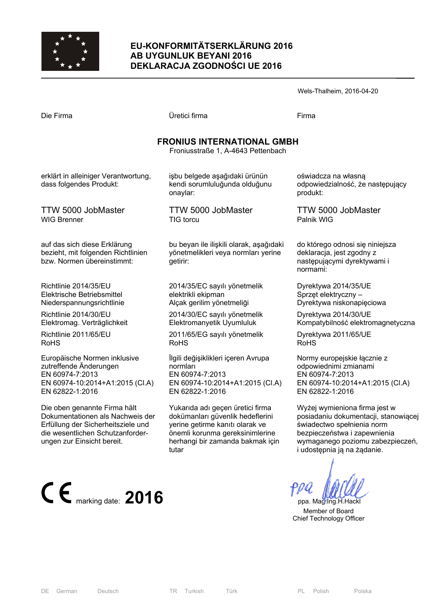

### **EU-KONFORMITÄTSERKLÄRUNG 2016 AB UYGUNLUK BEYANI 2016 DEKLARACJA ZGODNOŚCI UE 2016**

|                                                                 |                                                                            | Wels-Thalheim, 2016-04-20                                       |
|-----------------------------------------------------------------|----------------------------------------------------------------------------|-----------------------------------------------------------------|
| Die Firma                                                       | Üretici firma                                                              | Firma                                                           |
|                                                                 | <b>FRONIUS INTERNATIONAL GMBH</b><br>Froniusstraße 1, A-4643 Pettenbach    |                                                                 |
| erklärt in alleiniger Verantwortung,<br>dass folgendes Produkt: | işbu belgede aşağıdaki ürünün<br>kendi sorumluluğunda olduğunu<br>onaylar: | oświadcza na własną<br>odpowiedzialność, że następu<br>produkt: |
| <b>TTW 5000 JobMaster</b><br><b>WIG Brenner</b>                 | TTW 5000 JobMaster<br>TIG torcu                                            | TTW 5000 JobMaster<br>Palnik WIG                                |
|                                                                 |                                                                            |                                                                 |

auf das sich diese Erklärung bezieht, mit folgenden Richtlinien bzw. Normen übereinstimmt:

Richtlinie 2014/35/EU Elektrische Betriebsmittel Niederspannungsrichtlinie

Richtlinie 2014/30/EU Elektromag. Verträglichkeit

Richtlinie 2011/65/EU RoHS

Europäische Normen inklusive zutreffende Änderungen EN 60974-7:2013 EN 60974-10:2014+A1:2015 (Cl.A) EN 62822-1:2016

Die oben genannte Firma hält Dokumentationen als Nachweis der Erfüllung der Sicherheitsziele und die wesentlichen Schutzanforderungen zur Einsicht bereit.



bu beyan ile ilişkili olarak, aşağıdaki yönetmelikleri veya normları yerine getirir:

2014/35/EC sayılı yönetmelik elektrikli ekipman Alçak gerilim yönetmeliği

2014/30/EC sayılı yönetmelik Elektromanyetik Uyumluluk

2011/65/EG sayılı yönetmelik RoHS

İlgili değişiklikleri içeren Avrupa normları EN 60974-7:2013 EN 60974-10:2014+A1:2015 (Cl.A) EN 62822-1:2016

Yukarıda adı geçen üretici firma dokümanları güvenlik hedeflerini yerine getirme kanıtı olarak ve önemli korunma gereksinimlerine herhangi bir zamanda bakmak için tutar

ıjący

do którego odnosi się niniejsza deklaracja, jest zgodny z następującymi dyrektywami i normami:

Dyrektywa 2014/35/UE Sprzęt elektryczny – Dyrektywa niskonapięciowa

Dyrektywa 2014/30/UE Kompatybilność elektromagnetyczna

Dyrektywa 2011/65/UE RoHS

Normy europejskie łącznie z odpowiednimi zmianami EN 60974-7:2013 EN 60974-10:2014+A1:2015 (Cl.A) EN 62822-1:2016

Wyżej wymieniona firma jest w posiadaniu dokumentacji, stanowiącej świadectwo spełnienia norm bezpieczeństwa i zapewnienia wymaganego poziomu zabezpieczeń, i udostępnia ją na żądanie.

 Member of Board Chief Technology Officer